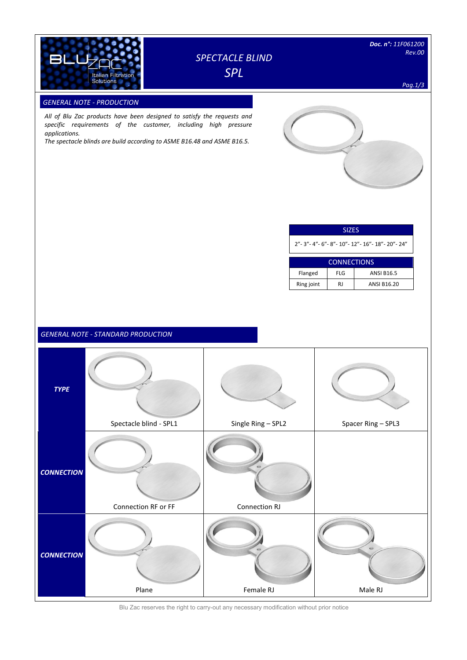

# *SPECTACLE BLIND SPL*

*Pag.1/3*

### **GENERAL NOTE - PRODUCTION**

*All of Blu Zac products have been designed to satisfy the requests and specific requirements of the customer, including high pressure applications.* 

*The spectacle blinds are build according to ASME B16.48 and ASME B16.5.*



### SIZES

2"- 3"- 4"- 6"- 8"- 10"- 12"- 16"- 18"- 20"- 24"

| <b>CONNECTIONS</b> |     |                   |  |  |  |  |  |  |  |
|--------------------|-----|-------------------|--|--|--|--|--|--|--|
| Flanged            | FLG | <b>ANSI B16.5</b> |  |  |  |  |  |  |  |
| Ring joint         | RI  | ANSI B16.20       |  |  |  |  |  |  |  |

## *GENERAL NOTE - STANDARD PRODUCTION*



Blu Zac reserves the right to carry-out any necessary modification without prior notice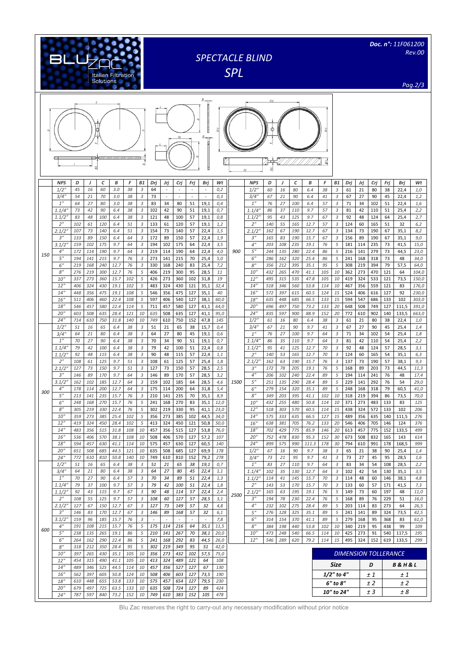|     | BLU                             |            |            |                  |                    |            |                              | <b>SPECTACLE BLIND</b><br><b>SPL</b> |            |               |              |                |              |      | Doc. n°: 11F061200<br><b>Rev.00</b> |            |                      |            |              |            |                                  |            |                             |            |            |                |                |
|-----|---------------------------------|------------|------------|------------------|--------------------|------------|------------------------------|--------------------------------------|------------|---------------|--------------|----------------|--------------|------|-------------------------------------|------------|----------------------|------------|--------------|------------|----------------------------------|------------|-----------------------------|------------|------------|----------------|----------------|
|     |                                 |            |            | <b>Solutions</b> | Italian Filtration |            |                              |                                      |            |               |              |                |              |      |                                     |            |                      |            |              |            |                                  |            |                             |            |            |                | Pag.2/3        |
|     | Ф<br><b>E</b><br>$B_{L}$        |            |            |                  |                    |            |                              |                                      |            |               |              |                |              |      |                                     |            |                      |            |              |            |                                  |            |                             |            |            |                |                |
|     | <b>NPS</b><br>$1/2$ "           | D<br>45    | J<br>16    | с<br>60          | В<br>3.0           | F<br>38    | <b>B1</b><br>$\overline{3}$  | Drj<br>64                            | Jrj        | Crj           | Frj<br>×.    | Brj<br>$\sim$  | Wt<br>0,2    |      | <b>NPS</b><br>$1/2$ "               | D<br>60    | $\overline{1}$<br>16 | C<br>80    | B<br>6.4     | F<br>38    | <b>B1</b><br>3                   | Dri<br>61  | Jrj<br>21                   | Crj<br>80  | Frj<br>38  | Brj<br>22,4    | Wt<br>1,0      |
|     | 3/4''<br>1 <sup>''</sup>        | 54<br>64   | 21<br>27   | 70<br>80         | 3.0<br>3.0         | 38<br>38   | 3<br>3                       | 73<br>83                             | 34         | $\sim$<br>80  | 51           | $\sim$<br>19,1 | 0,3<br>0,4   |      | 3/4''<br>1 <sup>''</sup>            | 67<br>76   | 21<br>27             | 90<br>100  | 6.4<br>6.4   | 41<br>57   | $\sqrt{3}$<br>3                  | 67<br>71   | 27<br>34                    | 90<br>102  | 45<br>51   | 22,4<br>22,4   | 1,2<br>1,6     |
|     | 1.1/4'                          | 73         | 42         | 90               | 6.4                | 38         | 3                            | 102                                  | 42         | 90            | 51           | 19,1           | 0,7          |      | 1.1/4"                              | 86         | 37                   | 110        | 9.7          | 57         | 3                                | 81         | 42                          | 110        | 51         | 25,4           | 2,2            |
|     | 1.1/2'<br>2 <sup>n</sup>        | 83<br>102  | 48<br>61   | 100<br>120       | 6.4<br>6.4         | 38<br>51   | 3<br>3                       | 121<br>133                           | 48<br>61   | 100<br>120    | 57<br>57     | 19,1<br>19,1   | 0,8<br>1,2   |      | 1.1/2''<br>2 <sup>''</sup>          | 95<br>140  | 43<br>55             | 125<br>165 | 9.7<br>12.7  | 67<br>57   | 3<br>$\sqrt{3}$                  | 92<br>124  | 48<br>60                    | 124<br>165 | 64<br>51   | 25,4<br>32     | 2,7<br>6,2     |
|     | 2.1/2'<br>3''                   | 107<br>133 | 73<br>89   | 140<br>150       | 6.4<br>6.4         | 51<br>64   | 3<br>3                       | 154<br>172                           | 73<br>89   | 140<br>150    | 57<br>57     | 22,4<br>22,4   | 1,5<br>1,9   |      | 2.1/2"<br>3 <sup>''</sup>           | 162<br>165 | 67<br>83             | 190<br>190 | 12.7<br>15.7 | 67<br>67   | 3<br>3                           | 134<br>156 | 73<br>89                    | 190<br>190 | 67<br>67   | 35,1<br>35,1   | 8,2<br>9,0     |
|     | 3.1/2                           | 159        | 102        | 175              | 9.7                | 64         | 3                            | 194                                  | 102        | 175           | 64           | 22,4           | 3,5          |      | 4 <sup>''</sup>                     | 203        | 108                  | 235        | 19.1         | 76         | 5                                | 181        | 114                         | 235        | 73         | 41,5           | 15,0           |
| 150 | 4 <sup>''</sup><br>5''          | 172<br>194 | 114<br>141 | 190<br>215       | 9.7<br>9.7         | 64<br>76   | $\mathfrak{Z}$<br>$\sqrt{3}$ | 219<br>273                           | 114<br>141 | 190<br>215    | 64<br>70     | 22,4<br>25,4   | 4,0<br>5,0   | 900  | 5 <sup>''</sup><br>6"               | 244<br>286 | 135<br>162           | 280<br>320 | 22.4<br>25.4 | 86<br>86   | 5<br>5                           | 216<br>241 | 141<br>168                  | 279<br>318 | 73<br>73   | 44,5<br>48     | 23,0<br>34,0   |
|     | 6"<br>8"                        | 219<br>276 | 168<br>219 | 240<br>300       | 12.7<br>12.7       | 76<br>76   | 3<br>5                       | 330<br>406                           | 168<br>219 | 240<br>300    | 83<br>95     | 25,4<br>28,5   | 7,2<br>11    |      | 8 <sup>''</sup><br>10 <sup>h</sup>  | 356<br>432 | 212<br>265           | 395<br>470 | 35.1<br>41.1 | 95<br>105  | 5<br>10                          | 308<br>362 | 219<br>273                  | 394<br>470 | 79<br>121  | 57,5<br>64     | 64,0<br>104,0  |
|     | 10''                            | 337        | 273        | 360              | 15.7               | 102        | 5                            | 426                                  | 273        | 360           | 102          | 31,8           | 19           |      | 12"                                 | 495        | 315                  | 535        | 47.8         | 105        | 10                               | 419        | 324                         | 533        | 121        | 73,5           | 150,0          |
|     | 12"<br>14"                      | 406<br>448 | 324<br>356 | 430<br>475       | 19.1<br>19.1       | 102<br>108 | 5<br>5                       | 483<br>546                           | 324<br>356 | 430<br>475    | 121<br>127   | 35,1<br>35,1   | 32,4<br>40   |      | 14"<br>16"                          | 518<br>572 | 346<br>397           | 560<br>615 | 53.8<br>60.5 | 114<br>124 | 10<br>15                         | 467<br>524 | 356<br>406                  | 559<br>616 | 121<br>127 | 83<br>92       | 176,0<br>230,0 |
|     | 16"                             | 511        | 406        | 460              | 22.4               | 108        | 5                            | 597                                  | 406        | 540           | 127          | 38,1           | 60,0         |      | 18"                                 | 635        | 448                  | 685        | 66.5         | 133        | 15                               | 594        | 547                         | 686        | 133        | 102            | 303,0          |
|     | 18"<br>20"                      | 546<br>603 | 457<br>508 | 580<br>635       | 22.4<br>28.4       | 114<br>121 | 5<br>10                      | 711<br>635                           | 457<br>508 | 580<br>635    | 127<br>127   | 41,1<br>41,1   | 64,0<br>95,0 |      | 20''<br>24"                         | 696<br>835 | 497<br>597           | 750<br>900 | 73.2<br>88.9 | 133<br>152 | 20<br>20                         | 648<br>772 | 508<br>610                  | 749<br>902 | 127<br>140 | 111,5<br>133,5 | 391,0<br>663,0 |
|     | 24''<br>$1/2$ "                 | 714<br>51  | 610<br>16  | 750<br>65        | 31.8<br>6.4        | 140<br>38  | 10<br>3                      | 749<br>51                            | 610<br>21  | 750<br>65     | 152<br>38    | 47,8<br>15,7   | 145<br>0,4   |      | 1/2'<br>3/4''                       | 61<br>67   | 16<br>21             | 80<br>90   | 6.4<br>9.7   | 38<br>41   | 3<br>3                           | 61<br>67   | 21<br>27                    | 80<br>90   | 38<br>45   | 22,4<br>25,4   | 1,0<br>1,4     |
|     | 3/4''                           | 64         | 21         | 80               | 6.4                | 38         | 3                            | 64                                   | 27         | 80            | 45           | 19,1           | 0,6          |      | 1 <sup>''</sup>                     | 76         | 27                   | 100        | 9.7          | 64         | 3                                | 71         | 34                          | 102        | 54         | 25,4           | 1,8            |
|     | $1^{\prime\prime}$<br>1.1/4     | 70<br>79   | 27<br>42   | 90<br>100        | 6.4<br>6.4         | 38<br>38   | 3<br>3                       | 70<br>79                             | 34<br>42   | 90<br>100     | 51<br>51     | 19,1<br>22,4   | 0,7<br>0,8   |      | 1.1/4'<br>1.1/2'                    | 86<br>95   | 35<br>41             | 110<br>125 | 9.7<br>12.7  | 64<br>70   | $\mathfrak{Z}$<br>$\mathfrak{Z}$ | 81<br>92   | 42<br>48                    | 110<br>124 | 54<br>57   | 25,4<br>28,5   | 2,2<br>3,1     |
|     | 1.1/2                           | 92         | 48         | 115              | 6.4                | 38         | 3                            | 90                                   | 48         | 115           | 57           | 22,4           | 1,1          | 1500 | 2 <sup>''</sup>                     | 140        | 53                   | 165        | 12.7         | 70         | 3                                | 124        | 60                          | 165        | 54         | 35,1           | 6,3            |
|     | 2 <sup>n</sup><br>2.1/2         | 108<br>127 | 61<br>73   | 125<br>150       | 9.7<br>9.7         | 51<br>51   | 3<br>$\overline{3}$          | 108<br>127                           | 61<br>73   | 125<br>150    | 57<br>57     | 25,4<br>28,5   | 1,8<br>2,5   |      | 2.1/2''<br>3 <sup>''</sup>          | 162<br>172 | 63<br>78             | 190<br>205 | 15.7<br>19.1 | 76<br>76   | 3<br>5                           | 137<br>168 | 73<br>89                    | 190<br>203 | 57<br>73   | 38,1<br>44,5   | 9,3<br>11,3    |
|     | 3''<br>3.1/2                    | 146<br>162 | 89<br>102  | 170<br>185       | 9.7<br>12.7        | 64<br>64   | 3<br>3                       | 146<br>159                           | 89<br>102  | 170<br>185    | 57<br>64     | 28,5<br>28,5   | 3,2<br>4,6   |      | 4 <sup>''</sup><br>5"               | 206<br>251 | 102<br>135           | 240<br>290 | 22.4<br>28.4 | 89<br>89   | 5<br>5                           | 194<br>229 | 114<br>141                  | 241<br>292 | 76<br>76   | 48<br>54       | 17,4<br>29,0   |
| 300 | 4                               | 178        | 114        | 200              | 12.7               | 64         | 3                            | 175                                  | 114        | 200           | 64           | 31,8           | 5,4          |      | 6'                                  | 279        | 154                  | 320        | 35.1         | 89         | 5                                | 248        | 168                         | 318        | 79         | 60,5           | 41,0           |
|     | 5"<br>6"                        | 213<br>248 | 141<br>168 | 235<br>270       | 15.7<br>15.7       | 76<br>76   | 3<br>5                       | 210<br>241                           | 141<br>168 | 235<br>270    | 70<br>83     | 35,1<br>35,1   | 8,9<br>12,0  |      | 8"<br>10"                           | 349<br>432 | 203<br>255           | 395<br>480 | 41.1<br>50.8 | 102<br>114 | 10<br>10                         | 318<br>371 | 219<br>273                  | 394<br>483 | 86<br>133  | 73,5<br>83     | 70,0<br>125    |
|     | $8^{\prime\prime}$              | 305        | 219        | 330              | 22.4               | 76         | 5                            | 302                                  | 219        | 330           | 95           | 41,1           | 23,0         |      | 12"                                 | 518        | 303                  | 570        | 60.5         | 114        | 15                               | 438        | 324                         | 572        | 133        | 102            | 206            |
|     | 10''<br>12"                     | 359<br>419 | 273<br>324 | 385<br>450       | 25.4<br>28.4       | 102<br>102 | 5<br>5                       | 356<br>413                           | 273<br>324 | 385<br>450    | 102<br>121   | 44,5<br>50,8   | 34,0<br>50,0 |      | 14"<br>16"                          | 575<br>638 | 333<br>381           | 635<br>705 | 66.5<br>76.2 | 127<br>133 | 15<br>20                         | 489<br>546 | 356<br>406                  | 635<br>705 | 140<br>146 | 111,5<br>124   | 276<br>376     |
|     | 14"<br>16"                      | 483<br>536 | 356<br>406 | 515<br>570       | 31.8<br>38.1       | 108<br>108 | 10<br>10                     | 457<br>508                           | 356<br>406 | 515<br>570    | 127<br>127   | 53,8<br>57,2   | 76,0<br>107  |      | 18"<br>20''                         | 702<br>752 | 429<br>478           | 775<br>830 | 85.9<br>95.3 | 146<br>152 | 20<br>30                         | 613<br>673 | 457<br>508                  | 775<br>832 | 152<br>165 | 133,5<br>143   | 499<br>614     |
|     | 18"                             | 594        | 457        | 630              | 41.1               | 114        | 10                           | 575                                  | 457        | 630           | 127          | 60,5           | 140          |      | 24"                                 | 899        | 575                  | 990        | 111.3        | 178        | 30                               | 794        | 610                         | 991        | 178        | 168,5          | 999            |
|     | 20"<br>24"                      | 651<br>772 | 508<br>610 | 685<br>810       | 44.5<br>50.8       | 121<br>140 | 10<br>10                     | 635<br>749                           | 508<br>610 | 685<br>810    | 127<br>152   | 69,9<br>79,2   | 178<br>278   |      | $1/2$ "<br>3/4"                     | 67<br>73   | 16<br>21             | 90<br>95   | 9.7<br>9.7   | 38<br>41   | 3<br>$\overline{3}$              | 65<br>73   | 21<br>27                    | 38<br>45   | 90<br>95   | 25,4<br>28,5   | 1,4<br>1,6     |
|     | $1/2$ "<br>3/4''                | 51<br>64   | 16<br>21   | 65<br>80         | 6.4<br>6.4         | 38<br>38   | 3<br>3                       | 51                                   | 21<br>27   | 65<br>80      | 38<br>45     | 19,1<br>22,4   | 0,7<br>1,1   |      | 1 <sup>''</sup><br>1.1/4"           | 83<br>102  | 27<br>35             | 110<br>130 | 9.7<br>12.7  | 64<br>64   | 3<br>3                           | 83<br>102  | 34<br>42                    | 54<br>54   | 108<br>130 | 28,5<br>35,1   | 2,2<br>3,5     |
|     | 1"                              | 70         | 27         | 90               | 6.4                | 57         | 3                            | 64<br>70                             | 34         | 89            | 51           | 22,4           | 1,3          |      | 1.1/2"                              | 114        | 41                   | 145        | 15.7         | 70         | 3                                | 114        | 48                          | 60         | 146        | 38,1           | 4,8            |
| 600 | 1.1/4"<br>1.1/2"                | 79<br>92   | 37<br>43   | 100<br>115       | 9.7<br>9.7         | 57<br>67   | 3<br>3                       | 79<br>90                             | 42<br>48   | 100<br>114    | 51<br>57     | 22,4<br>22,4   | 1,8<br>2,4   |      | 2 <sup>n</sup><br>2.1/2"            | 143<br>165 | 53<br>63             | 170<br>195 | 15.7<br>19.1 | 70<br>76   | 3<br>5                           | 133<br>149 | 60<br>73                    | 57<br>60   | 171<br>197 | 41,5<br>48     | 7,3<br>11,0    |
|     | 2 <sup>n</sup>                  | 108        | 55         | 125              | 9.7                | 57         | 3                            | 108                                  | 60         | 127           | 57           | 28,5           | 3,1          | 2500 | 3 <sup>''</sup>                     | 194        | 78                   | 230        | 22.4         | 76         | 5                                | 168        | 89                          | 76         | 229        | 51             | 16,0           |
|     | 2.1/2"<br>3"                    | 127<br>146 | 67<br>83   | 150<br>170       | 12.7<br>12.7       | 67<br>67   | 3<br>3                       | 127<br>146                           | 73<br>89   | 149<br>168    | 57<br>57     | 32<br>32       | 4,8<br>6,1   |      | 4 <sup>''</sup><br>5"               | 232<br>276 | 102<br>128           | 275<br>325 | 28.4<br>35.1 | 89<br>89   | 5<br>5                           | 203<br>241 | 114<br>141                  | 83<br>89   | 273<br>324 | 64<br>73,5     | 26,5<br>42,5   |
|     | $3.1/2$ "<br>$4^{\prime\prime}$ | 159<br>191 | 96<br>108  | 185<br>215       | 15.7<br>15.7       | 76<br>76   | $\mathfrak{Z}$<br>5          | 175                                  | 114        | $\sim$<br>216 | $\sim$<br>64 | $\sim$<br>35,1 | 7,8<br>11,5  |      | 6"<br>8"                            | 314<br>384 | 154<br>198           | 370<br>440 | 41.1<br>53.8 | 89<br>102  | 5<br>10                          | 279<br>340 | 168<br>219                  | 95<br>95   | 368<br>438 | 83<br>99       | 61,0<br>109    |
|     | $5^{\prime\prime}$              | 238        | 135        | 265              | 19.1               | 86         | 5                            | 210                                  | 141        | 267           | 70           | 38,1           | 20,0         |      | 10''                                | 473        | 248                  | 540        | 66.5         | 114        | 10                               | 425        | 273                         | 91         | 540        | 117,5          | 195            |
|     | 6"<br>8"                        | 264<br>318 | 162<br>212 | 290<br>350       | 22.4<br>28.4       | 86<br>95   | 5<br>5                       | 241<br>302                           | 168<br>219 | 292<br>349    | 83<br>95     | 44,5<br>51     | 26,0<br>42,0 |      | 12"                                 | 546        | 289                  | 620        | 79.2         | 114        | 15                               | 495        | 324                         | 152        | 619        | 133,5          | 299            |
|     | 10"<br>12"                      | 397<br>454 | 265<br>315 | 430<br>490       | 35.1<br>41.1       | 105<br>105 | 10<br>10                     | 356<br>413                           | 273<br>324 | 432<br>489    | 102<br>121   | 57,5<br>64     | 75,0<br>108  |      |                                     |            |                      |            |              |            |                                  |            | <b>DIMENSION TOLLERANCE</b> |            |            |                |                |
|     | 14"                             | 489        | 346        | 525              | 44.5               | 114        | 10                           | 457                                  | 356        | 527           | 127          | 67             | 130          |      |                                     |            |                      |            |              |            | Size                             |            |                             | D          |            | B & H & L      |                |
|     | 16"<br>18"                      | 562<br>610 | 397<br>448 | 605<br>655       | 50.8<br>53.8       | 124<br>133 | 10<br>10                     | 508<br>575                           | 406<br>457 | 603<br>654    | 127<br>127   | 73,5<br>79,5   | 190<br>230   |      |                                     |            |                      |            |              |            | 1/2" to 4"                       |            |                             | ± 1        |            | ± 1            |                |
|     | 20"                             | 679        | 497        | 725              | 63.5               | 133        | 10                           | 635                                  | 508        | 724           | 127          | 89             | 424          |      |                                     |            |                      |            |              |            | 6" to 8"<br>10" to 24"           |            |                             | ±2<br>± 3  |            | ± 2<br>± 8     |                |
|     | 24"                             | 787        | 597        | 840              | 73.2               | 152        | 10                           | 749                                  | 610        | 383           | 152          | 105            | 478          |      |                                     |            |                      |            |              |            |                                  |            |                             |            |            |                |                |

Blu Zac reserves the right to carry-out any necessary modification without prior notice